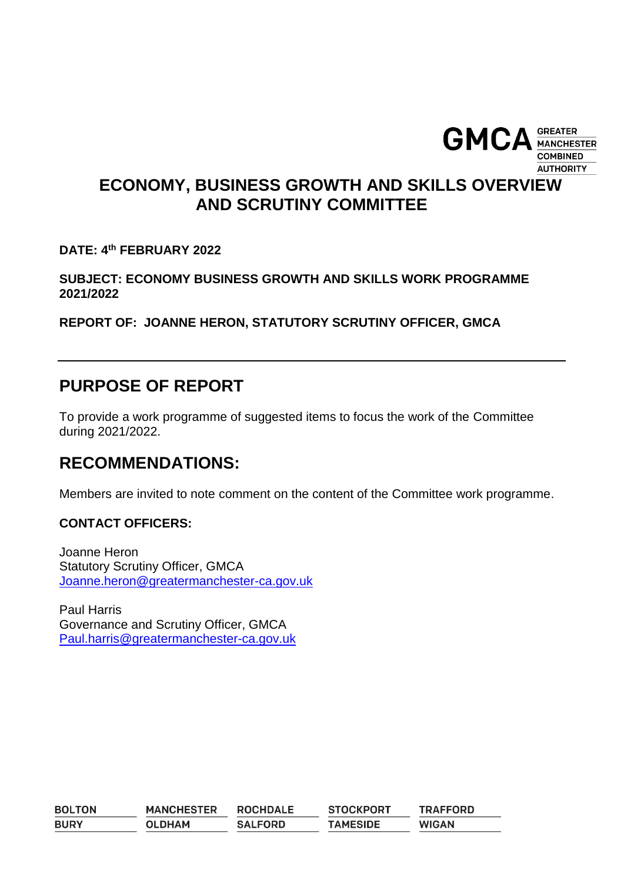

## **ECONOMY, BUSINESS GROWTH AND SKILLS OVERVIEW AND SCRUTINY COMMITTEE**

**DATE: 4 th FEBRUARY 2022**

**SUBJECT: ECONOMY BUSINESS GROWTH AND SKILLS WORK PROGRAMME 2021/2022**

**REPORT OF: JOANNE HERON, STATUTORY SCRUTINY OFFICER, GMCA** 

## **PURPOSE OF REPORT**

To provide a work programme of suggested items to focus the work of the Committee during 2021/2022.

### **RECOMMENDATIONS:**

Members are invited to note comment on the content of the Committee work programme.

#### **CONTACT OFFICERS:**

Joanne Heron Statutory Scrutiny Officer, GMCA [Joanne.heron@greatermanchester-ca.gov.uk](mailto:Joanne.heron@greatermanchester-ca.gov.uk)

Paul Harris Governance and Scrutiny Officer, GMCA [Paul.harris@greatermanchester-ca.gov.uk](mailto:Paul.harris@greatermanchester-ca.gov.uk)

| <b>BOLTON</b> | <b>MANCHESTER</b> | <b>ROCHDALE</b> | <b>STOCKPORT</b> | <b>TRAFFORD</b> |
|---------------|-------------------|-----------------|------------------|-----------------|
| <b>BURY</b>   | <b>OLDHAM</b>     | <b>SALFORD</b>  | <b>TAMESIDE</b>  | <b>WIGAN</b>    |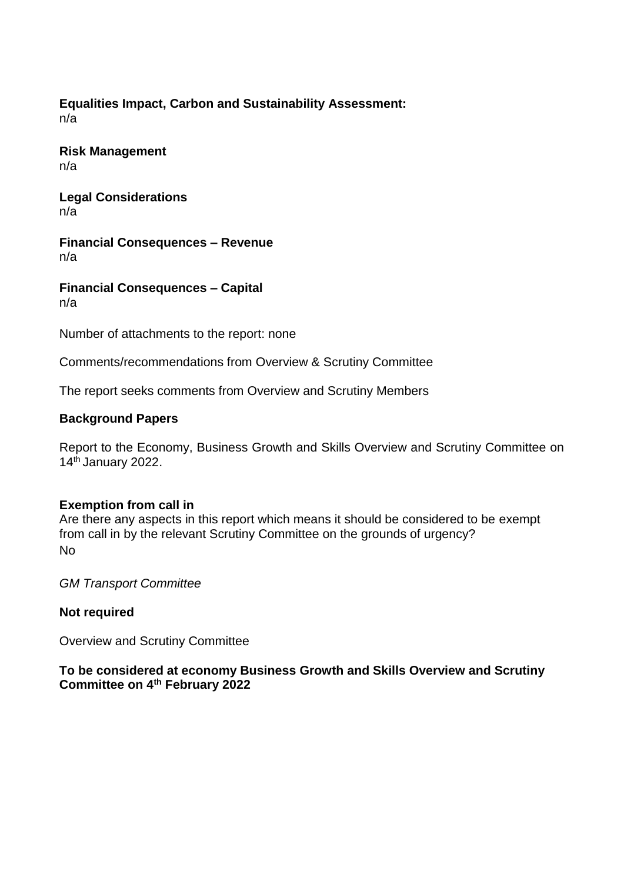#### **Equalities Impact, Carbon and Sustainability Assessment:** n/a

**Risk Management** n/a

**Legal Considerations** n/a

**Financial Consequences – Revenue** n/a

**Financial Consequences – Capital** n/a

Number of attachments to the report: none

Comments/recommendations from Overview & Scrutiny Committee

The report seeks comments from Overview and Scrutiny Members

#### **Background Papers**

Report to the Economy, Business Growth and Skills Overview and Scrutiny Committee on 14<sup>th</sup> January 2022.

#### **Exemption from call in**

Are there any aspects in this report which means it should be considered to be exempt from call in by the relevant Scrutiny Committee on the grounds of urgency? No

*GM Transport Committee*

#### **Not required**

Overview and Scrutiny Committee

#### **To be considered at economy Business Growth and Skills Overview and Scrutiny Committee on 4th February 2022**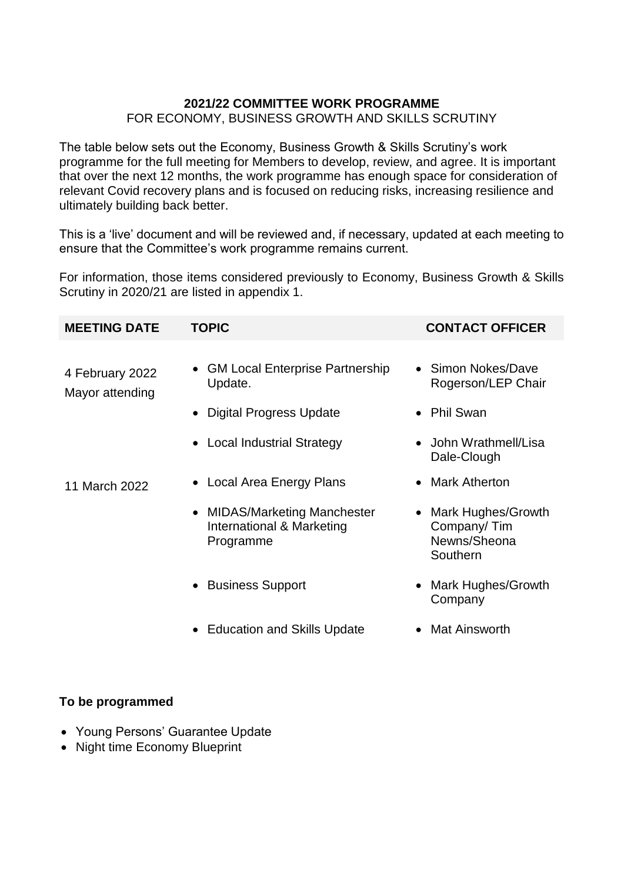#### **2021/22 COMMITTEE WORK PROGRAMME**  FOR ECONOMY, BUSINESS GROWTH AND SKILLS SCRUTINY

The table below sets out the Economy, Business Growth & Skills Scrutiny's work programme for the full meeting for Members to develop, review, and agree. It is important that over the next 12 months, the work programme has enough space for consideration of relevant Covid recovery plans and is focused on reducing risks, increasing resilience and ultimately building back better.

This is a 'live' document and will be reviewed and, if necessary, updated at each meeting to ensure that the Committee's work programme remains current.

For information, those items considered previously to Economy, Business Growth & Skills Scrutiny in 2020/21 are listed in appendix 1.

| <b>MEETING DATE</b>                | <b>TOPIC</b>                                                           | <b>CONTACT OFFICER</b>                                               |
|------------------------------------|------------------------------------------------------------------------|----------------------------------------------------------------------|
| 4 February 2022<br>Mayor attending | • GM Local Enterprise Partnership<br>Update.                           | • Simon Nokes/Dave<br>Rogerson/LEP Chair                             |
|                                    | <b>Digital Progress Update</b>                                         | • Phil Swan                                                          |
|                                    | • Local Industrial Strategy                                            | John Wrathmell/Lisa<br>Dale-Clough                                   |
| 11 March 2022                      | • Local Area Energy Plans                                              | <b>Mark Atherton</b>                                                 |
|                                    | • MIDAS/Marketing Manchester<br>International & Marketing<br>Programme | <b>Mark Hughes/Growth</b><br>Company/Tim<br>Newns/Sheona<br>Southern |
|                                    | • Business Support                                                     | Mark Hughes/Growth<br>Company                                        |

- Education and Skills Update
- Mat Ainsworth

### **To be programmed**

- Young Persons' Guarantee Update
- Night time Economy Blueprint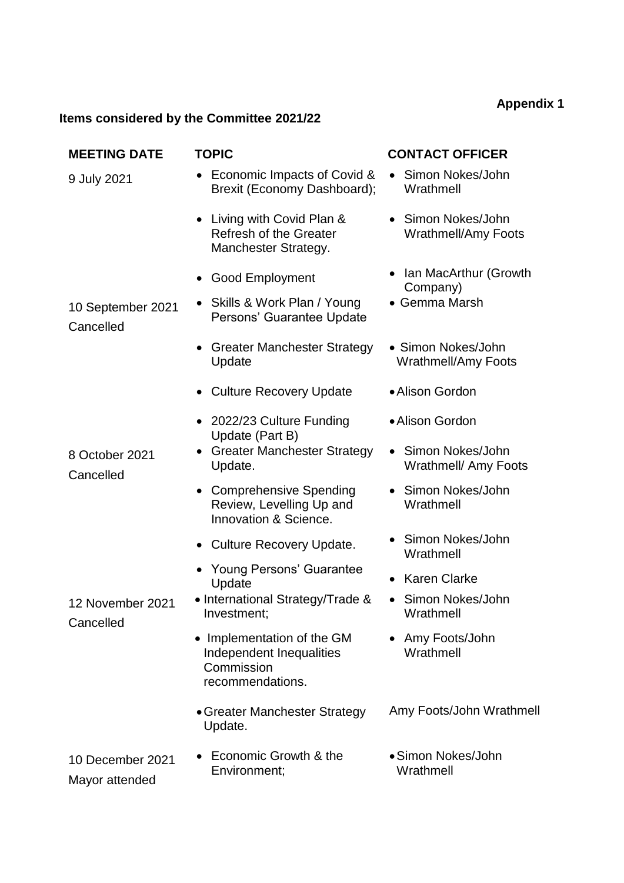# **Appendix 1**

## **Items considered by the Committee 2021/22**

| <b>MEETING DATE</b>                | <b>TOPIC</b>                                                                                    | <b>CONTACT OFFICER</b>                                |
|------------------------------------|-------------------------------------------------------------------------------------------------|-------------------------------------------------------|
| 9 July 2021                        | Economic Impacts of Covid &<br>Brexit (Economy Dashboard);                                      | Simon Nokes/John<br>$\bullet$<br>Wrathmell            |
|                                    | • Living with Covid Plan &<br><b>Refresh of the Greater</b><br>Manchester Strategy.             | • Simon Nokes/John<br><b>Wrathmell/Amy Foots</b>      |
|                                    | <b>Good Employment</b><br>٠                                                                     | • Ian MacArthur (Growth<br>Company)                   |
| 10 September 2021<br>Cancelled     | Skills & Work Plan / Young<br>Persons' Guarantee Update                                         | • Gemma Marsh                                         |
|                                    | <b>Greater Manchester Strategy</b><br>Update                                                    | • Simon Nokes/John<br><b>Wrathmell/Amy Foots</b>      |
|                                    | • Culture Recovery Update                                                                       | • Alison Gordon                                       |
|                                    | • 2022/23 Culture Funding<br>Update (Part B)                                                    | • Alison Gordon                                       |
| 8 October 2021<br>Cancelled        | • Greater Manchester Strategy<br>Update.                                                        | Simon Nokes/John<br>$\bullet$<br>Wrathmell/ Amy Foots |
|                                    | <b>Comprehensive Spending</b><br>$\bullet$<br>Review, Levelling Up and<br>Innovation & Science. | Simon Nokes/John<br>$\bullet$<br>Wrathmell            |
|                                    | • Culture Recovery Update.                                                                      | Simon Nokes/John<br>Wrathmell                         |
|                                    | <b>Young Persons' Guarantee</b><br>Update                                                       | <b>Karen Clarke</b>                                   |
| 12 November 2021<br>Cancelled      | • International Strategy/Trade &<br>Investment;                                                 | Simon Nokes/John<br>Wrathmell                         |
|                                    | • Implementation of the GM<br>Independent Inequalities<br>Commission<br>recommendations.        | Amy Foots/John<br>Wrathmell                           |
|                                    | • Greater Manchester Strategy<br>Update.                                                        | Amy Foots/John Wrathmell                              |
| 10 December 2021<br>Mayor attended | Economic Growth & the<br>Environment;                                                           | • Simon Nokes/John<br>Wrathmell                       |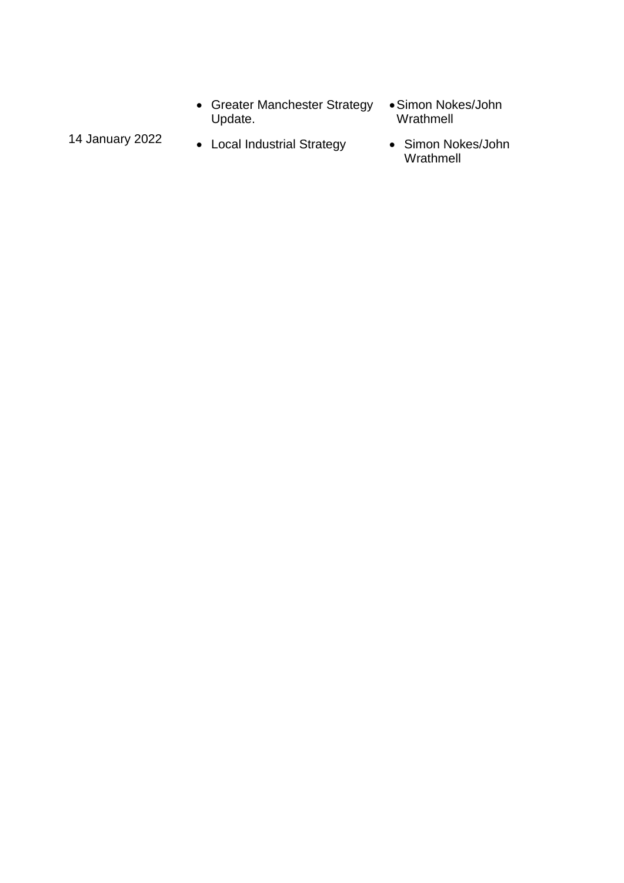- Greater Manchester Strategy Update.
- Simon Nokes/John Wrathmell
- 14 January 2022 . Local Industrial Strategy . Simon Nokes/John
	- Wrathmell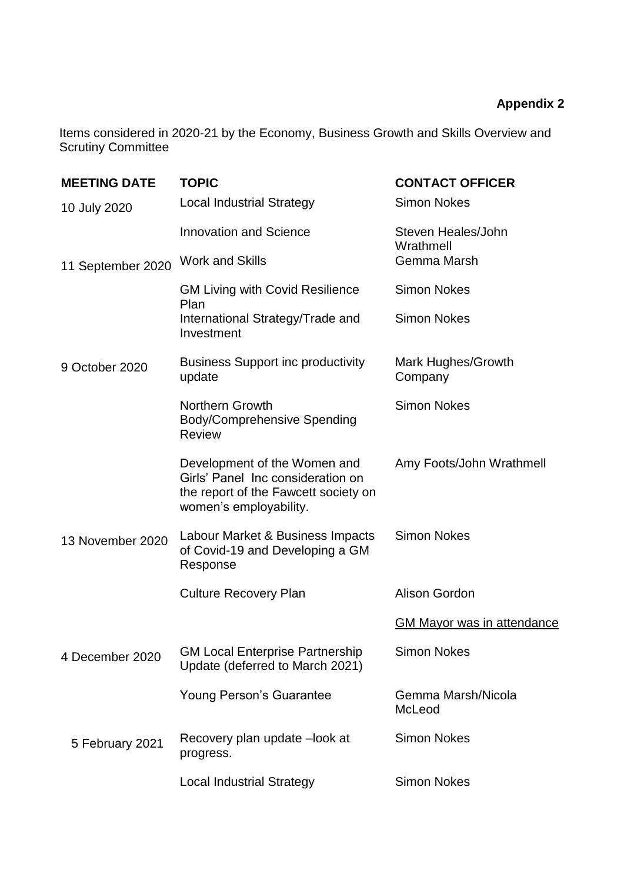## **Appendix 2**

Items considered in 2020-21 by the Economy, Business Growth and Skills Overview and Scrutiny Committee

| <b>MEETING DATE</b> | <b>TOPIC</b>                                                                                                                        | <b>CONTACT OFFICER</b>            |
|---------------------|-------------------------------------------------------------------------------------------------------------------------------------|-----------------------------------|
| 10 July 2020        | <b>Local Industrial Strategy</b>                                                                                                    | <b>Simon Nokes</b>                |
|                     | <b>Innovation and Science</b>                                                                                                       | Steven Heales/John<br>Wrathmell   |
| 11 September 2020   | <b>Work and Skills</b>                                                                                                              | Gemma Marsh                       |
|                     | <b>GM Living with Covid Resilience</b><br>Plan                                                                                      | <b>Simon Nokes</b>                |
|                     | International Strategy/Trade and<br>Investment                                                                                      | <b>Simon Nokes</b>                |
| 9 October 2020      | <b>Business Support inc productivity</b><br>update                                                                                  | Mark Hughes/Growth<br>Company     |
|                     | Northern Growth<br><b>Body/Comprehensive Spending</b><br><b>Review</b>                                                              | <b>Simon Nokes</b>                |
|                     | Development of the Women and<br>Girls' Panel Inc consideration on<br>the report of the Fawcett society on<br>women's employability. | Amy Foots/John Wrathmell          |
| 13 November 2020    | Labour Market & Business Impacts<br>of Covid-19 and Developing a GM<br>Response                                                     | <b>Simon Nokes</b>                |
|                     | <b>Culture Recovery Plan</b>                                                                                                        | Alison Gordon                     |
|                     |                                                                                                                                     | <b>GM Mayor was in attendance</b> |
| 4 December 2020     | <b>GM Local Enterprise Partnership</b><br>Update (deferred to March 2021)                                                           | <b>Simon Nokes</b>                |
|                     | <b>Young Person's Guarantee</b>                                                                                                     | Gemma Marsh/Nicola<br>McLeod      |
| 5 February 2021     | Recovery plan update -look at<br>progress.                                                                                          | <b>Simon Nokes</b>                |
|                     | <b>Local Industrial Strategy</b>                                                                                                    | <b>Simon Nokes</b>                |